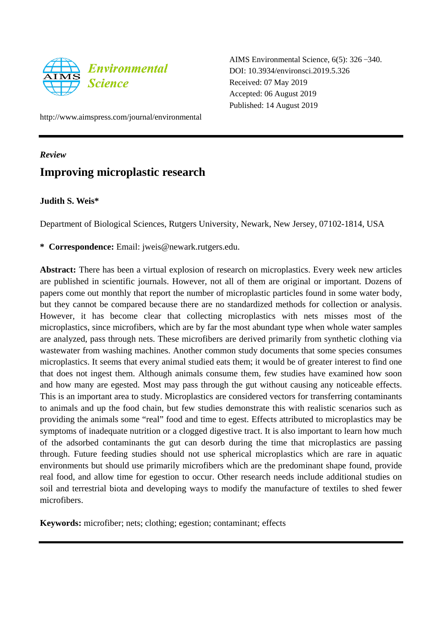

AIMS Environmental Science, 6(5): 326 –340. DOI: 10.3934/environsci.2019.5.326 Received: 07 May 2019 Accepted: 06 August 2019 Published: 14 August 2019

http://www.aimspress.com/journal/environmental

## *Review*

# **Improving microplastic research**

# **Judith S. Weis\***

Department of Biological Sciences, Rutgers University, Newark, New Jersey, 07102-1814, USA

**\* Correspondence:** Email: jweis@newark.rutgers.edu.

**Abstract:** There has been a virtual explosion of research on microplastics. Every week new articles are published in scientific journals. However, not all of them are original or important. Dozens of papers come out monthly that report the number of microplastic particles found in some water body, but they cannot be compared because there are no standardized methods for collection or analysis. However, it has become clear that collecting microplastics with nets misses most of the microplastics, since microfibers, which are by far the most abundant type when whole water samples are analyzed, pass through nets. These microfibers are derived primarily from synthetic clothing via wastewater from washing machines. Another common study documents that some species consumes microplastics. It seems that every animal studied eats them; it would be of greater interest to find one that does not ingest them. Although animals consume them, few studies have examined how soon and how many are egested. Most may pass through the gut without causing any noticeable effects. This is an important area to study. Microplastics are considered vectors for transferring contaminants to animals and up the food chain, but few studies demonstrate this with realistic scenarios such as providing the animals some "real" food and time to egest. Effects attributed to microplastics may be symptoms of inadequate nutrition or a clogged digestive tract. It is also important to learn how much of the adsorbed contaminants the gut can desorb during the time that microplastics are passing through. Future feeding studies should not use spherical microplastics which are rare in aquatic environments but should use primarily microfibers which are the predominant shape found, provide real food, and allow time for egestion to occur. Other research needs include additional studies on soil and terrestrial biota and developing ways to modify the manufacture of textiles to shed fewer microfibers.

**Keywords:** microfiber; nets; clothing; egestion; contaminant; effects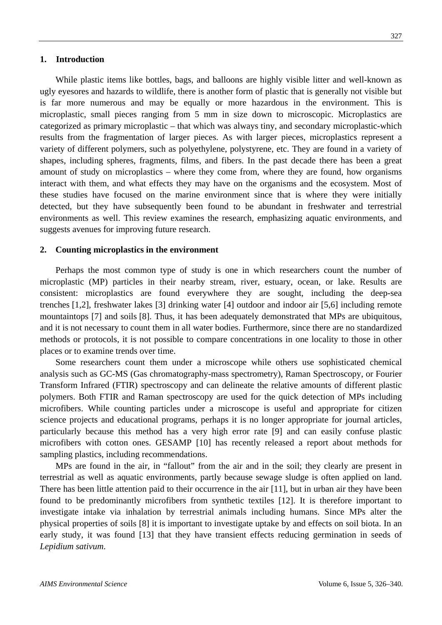While plastic items like bottles, bags, and balloons are highly visible litter and well-known as ugly eyesores and hazards to wildlife, there is another form of plastic that is generally not visible but is far more numerous and may be equally or more hazardous in the environment. This is microplastic, small pieces ranging from 5 mm in size down to microscopic. Microplastics are categorized as primary microplastic – that which was always tiny, and secondary microplastic-which results from the fragmentation of larger pieces. As with larger pieces, microplastics represent a variety of different polymers, such as polyethylene, polystyrene, etc. They are found in a variety of shapes, including spheres, fragments, films, and fibers. In the past decade there has been a great amount of study on microplastics – where they come from, where they are found, how organisms interact with them, and what effects they may have on the organisms and the ecosystem. Most of these studies have focused on the marine environment since that is where they were initially detected, but they have subsequently been found to be abundant in freshwater and terrestrial environments as well. This review examines the research, emphasizing aquatic environments, and suggests avenues for improving future research.

### **2. Counting microplastics in the environment**

Perhaps the most common type of study is one in which researchers count the number of microplastic (MP) particles in their nearby stream, river, estuary, ocean, or lake. Results are consistent: microplastics are found everywhere they are sought, including the deep-sea trenches [1,2], freshwater lakes [3] drinking water [4] outdoor and indoor air [5,6] including remote mountaintops [7] and soils [8]. Thus, it has been adequately demonstrated that MPs are ubiquitous, and it is not necessary to count them in all water bodies. Furthermore, since there are no standardized methods or protocols, it is not possible to compare concentrations in one locality to those in other places or to examine trends over time.

Some researchers count them under a microscope while others use sophisticated chemical analysis such as GC-MS (Gas chromatography-mass spectrometry), Raman Spectroscopy, or Fourier Transform Infrared (FTIR) spectroscopy and can delineate the relative amounts of different plastic polymers. Both FTIR and Raman spectroscopy are used for the quick detection of MPs including microfibers. While counting particles under a microscope is useful and appropriate for citizen science projects and educational programs, perhaps it is no longer appropriate for journal articles, particularly because this method has a very high error rate [9] and can easily confuse plastic microfibers with cotton ones. GESAMP [10] has recently released a report about methods for sampling plastics, including recommendations.

MPs are found in the air, in "fallout" from the air and in the soil; they clearly are present in terrestrial as well as aquatic environments, partly because sewage sludge is often applied on land. There has been little attention paid to their occurrence in the air [11], but in urban air they have been found to be predominantly microfibers from synthetic textiles [12]. It is therefore important to investigate intake via inhalation by terrestrial animals including humans. Since MPs alter the physical properties of soils [8] it is important to investigate uptake by and effects on soil biota. In an early study, it was found [13] that they have transient effects reducing germination in seeds of *Lepidium sativum*.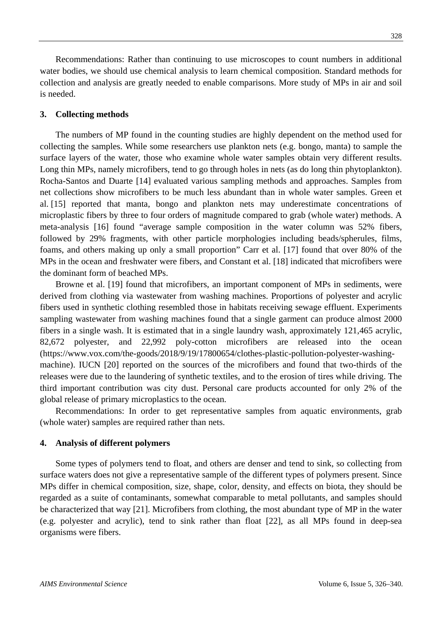Recommendations: Rather than continuing to use microscopes to count numbers in additional water bodies, we should use chemical analysis to learn chemical composition. Standard methods for collection and analysis are greatly needed to enable comparisons. More study of MPs in air and soil is needed.

## **3. Collecting methods**

The numbers of MP found in the counting studies are highly dependent on the method used for collecting the samples. While some researchers use plankton nets (e.g. bongo, manta) to sample the surface layers of the water, those who examine whole water samples obtain very different results. Long thin MPs, namely microfibers, tend to go through holes in nets (as do long thin phytoplankton). Rocha-Santos and Duarte [14] evaluated various sampling methods and approaches. Samples from net collections show microfibers to be much less abundant than in whole water samples. Green et al. [15] reported that manta, bongo and plankton nets may underestimate concentrations of microplastic fibers by three to four orders of magnitude compared to grab (whole water) methods. A meta-analysis [16] found "average sample composition in the water column was 52% fibers, followed by 29% fragments, with other particle morphologies including beads/spherules, films, foams, and others making up only a small proportion" Carr et al. [17] found that over 80% of the MPs in the ocean and freshwater were fibers, and Constant et al. [18] indicated that microfibers were the dominant form of beached MPs.

Browne et al. [19] found that microfibers, an important component of MPs in sediments, were derived from clothing via wastewater from washing machines. Proportions of polyester and acrylic fibers used in synthetic clothing resembled those in habitats receiving sewage effluent. Experiments sampling wastewater from washing machines found that a single garment can produce almost 2000 fibers in a single wash. It is estimated that in a single laundry wash, approximately 121,465 acrylic, 82,672 polyester, and 22,992 poly-cotton microfibers are released into the ocean [\(https://www.vox.com/the-goods/2018/9/19/17800654/clothes-plastic-pollution-polyester-washing](https://www.vox.com/the-goods/2018/9/19/17800654/clothes-plastic-pollution-polyester-washing-machine)[machine\)](https://www.vox.com/the-goods/2018/9/19/17800654/clothes-plastic-pollution-polyester-washing-machine). IUCN [20] reported on the sources of the microfibers and found that two-thirds of the releases were due to the laundering of synthetic textiles, and to the erosion of tires while driving. The third important contribution was city dust. Personal care products accounted for only 2% of the global release of primary microplastics to the ocean.

Recommendations: In order to get representative samples from aquatic environments, grab (whole water) samples are required rather than nets.

#### **4. Analysis of different polymers**

Some types of polymers tend to float, and others are denser and tend to sink, so collecting from surface waters does not give a representative sample of the different types of polymers present. Since MPs differ in chemical composition, size, shape, color, density, and effects on biota, they should be regarded as a suite of contaminants, somewhat comparable to metal pollutants, and samples should be characterized that way [21]. Microfibers from clothing, the most abundant type of MP in the water (e.g. polyester and acrylic), tend to sink rather than float [22], as all MPs found in deep-sea organisms were fibers.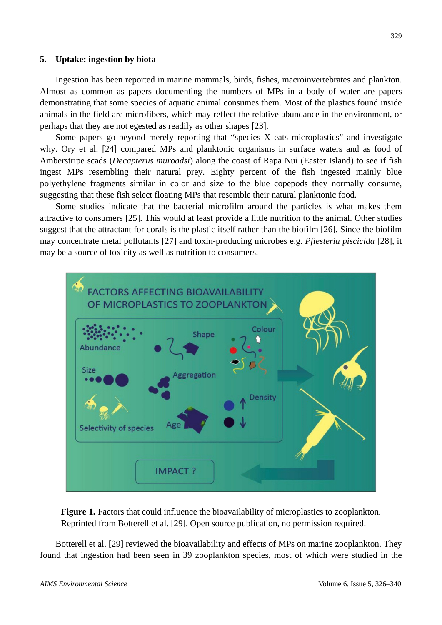Ingestion has been reported in marine mammals, birds, fishes, macroinvertebrates and plankton. Almost as common as papers documenting the numbers of MPs in a body of water are papers demonstrating that some species of aquatic animal consumes them. Most of the plastics found inside animals in the field are microfibers, which may reflect the relative abundance in the environment, or perhaps that they are not egested as readily as other shapes [23].

Some papers go beyond merely reporting that "species X eats microplastics" and investigate why. Ory et al. [24] compared MPs and planktonic organisms in surface waters and as food of Amberstripe scads (*Decapterus muroadsi*) along the coast of Rapa Nui (Easter Island) to see if fish ingest MPs resembling their natural prey. Eighty percent of the fish ingested mainly blue polyethylene fragments similar in color and size to the blue copepods they normally consume, suggesting that these fish select floating MPs that resemble their natural planktonic food.

Some studies indicate that the bacterial microfilm around the particles is what makes them attractive to consumers [25]. This would at least provide a little nutrition to the animal. Other studies suggest that the attractant for corals is the plastic itself rather than the biofilm [26]. Since the biofilm may concentrate metal pollutants [27] and toxin-producing microbes e.g. *Pfiesteria piscicida* [28], it may be a source of toxicity as well as nutrition to consumers.



**Figure 1.** Factors that could influence the bioavailability of microplastics to zooplankton. Reprinted from Botterell et al. [29]. Open source publication, no permission required.

Botterell et al. [29] reviewed the bioavailability and effects of MPs on marine zooplankton. They found that ingestion had been seen in 39 zooplankton species, most of which were studied in the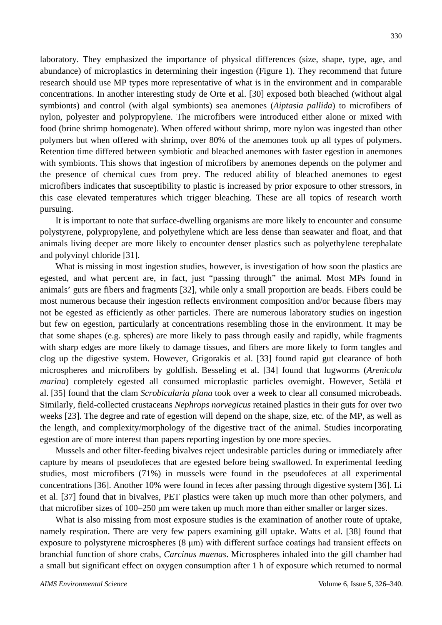laboratory. They emphasized the importance of physical differences (size, shape, type, age, and abundance) of microplastics in determining their ingestion (Figure 1). They recommend that future research should use MP types more representative of what is in the environment and in comparable concentrations. In another interesting study de Orte et al. [30] exposed both bleached (without algal symbionts) and control (with algal symbionts) sea anemones (*Aiptasia pallida*) to microfibers of nylon, polyester and polypropylene. The microfibers were introduced either alone or mixed with food (brine shrimp homogenate). When offered without shrimp, more nylon was ingested than other polymers but when offered with shrimp, over 80% of the anemones took up all types of polymers. Retention time differed between symbiotic and bleached anemones with faster egestion in anemones with symbionts. This shows that ingestion of microfibers by anemones depends on the polymer and the presence of chemical cues from prey. The reduced ability of bleached anemones to egest microfibers indicates that susceptibility to plastic is increased by prior exposure to other stressors, in this case elevated temperatures which trigger bleaching. These are all topics of research worth pursuing.

It is important to note that surface-dwelling organisms are more likely to encounter and consume polystyrene, polypropylene, and polyethylene which are less dense than seawater and float, and that animals living deeper are more likely to encounter denser plastics such as polyethylene terephalate and polyvinyl chloride [31].

What is missing in most ingestion studies, however, is investigation of how soon the plastics are egested, and what percent are, in fact, just "passing through" the animal. Most MPs found in animals' guts are fibers and fragments [32], while only a small proportion are beads. Fibers could be most numerous because their ingestion reflects environment composition and/or because fibers may not be egested as efficiently as other particles. There are numerous laboratory studies on ingestion but few on egestion, particularly at concentrations resembling those in the environment. It may be that some shapes (e.g. spheres) are more likely to pass through easily and rapidly, while fragments with sharp edges are more likely to damage tissues, and fibers are more likely to form tangles and clog up the digestive system. However, Grigorakis et al. [33] found rapid gut clearance of both microspheres and microfibers by goldfish. Besseling et al. [34] found that lugworms (*Arenicola marina*) completely egested all consumed microplastic particles overnight. However, Setälä et al. [35] found that the clam *Scrobicularia plana* took over a week to clear all consumed microbeads. Similarly, field-collected crustaceans *Nephrops norvegicus* retained plastics in their guts for over two weeks [23]. The degree and rate of egestion will depend on the shape, size, etc. of the MP, as well as the length, and complexity/morphology of the digestive tract of the animal. Studies incorporating egestion are of more interest than papers reporting ingestion by one more species.

Mussels and other filter-feeding bivalves reject undesirable particles during or immediately after capture by means of pseudofeces that are egested before being swallowed. In experimental feeding studies, most microfibers (71%) in mussels were found in the pseudofeces at all experimental concentrations [36]. Another 10% were found in feces after passing through digestive system [36]. Li et al. [37] found that in bivalves, PET plastics were taken up much more than other polymers, and that microfiber sizes of 100–250 μm were taken up much more than either smaller or larger sizes.

What is also missing from most exposure studies is the examination of another route of uptake, namely respiration. There are very few papers examining gill uptake. Watts et al. [38] found that exposure to polystyrene microspheres (8 μm) with different surface coatings had transient effects on branchial function of shore crabs*, Carcinus maenas*. Microspheres inhaled into the gill chamber had a small but significant effect on oxygen consumption after 1 h of exposure which returned to normal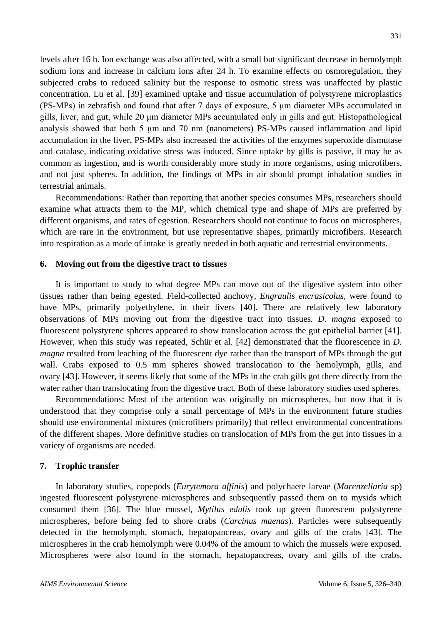levels after 16 h. Ion exchange was also affected, with a small but significant decrease in hemolymph sodium ions and increase in calcium ions after 24 h. To examine effects on osmoregulation, they subjected crabs to reduced salinity but the response to osmotic stress was unaffected by plastic concentration. Lu et al. [39] examined uptake and tissue accumulation of polystyrene microplastics (PS-MPs) in zebrafish and found that after 7 days of exposure, 5 μm diameter MPs accumulated in gills, liver, and gut, while 20 μm diameter MPs accumulated only in gills and gut. Histopathological analysis showed that both 5 μm and 70 nm (nanometers) PS-MPs caused inflammation and lipid accumulation in the liver. PS-MPs also increased the activities of the enzymes superoxide dismutase and catalase, indicating oxidative stress was induced. Since uptake by gills is passive, it may be as common as ingestion, and is worth considerably more study in more organisms, using microfibers, and not just spheres. In addition, the findings of MPs in air should prompt inhalation studies in terrestrial animals.

Recommendations: Rather than reporting that another species consumes MPs, researchers should examine what attracts them to the MP, which chemical type and shape of MPs are preferred by different organisms, and rates of egestion. Researchers should not continue to focus on microspheres, which are rare in the environment, but use representative shapes, primarily microfibers. Research into respiration as a mode of intake is greatly needed in both aquatic and terrestrial environments.

#### **6. Moving out from the digestive tract to tissues**

It is important to study to what degree MPs can move out of the digestive system into other tissues rather than being egested. Field-collected anchovy, *Engraulis encrasicolus*, were found to have MPs, primarily polyethylene, in their livers [40]. There are relatively few laboratory observations of MPs moving out from the digestive tract into tissues*. D. magna* exposed to fluorescent polystyrene spheres appeared to show translocation across the gut epithelial barrier [41]. However, when this study was repeated, [Schür](https://setac.onlinelibrary.wiley.com/action/doSearch?ContribAuthorStored=Sch%C3%BCr%2C+Christoph) et al. [42] demonstrated that the fluorescence in *D. magna* resulted from leaching of the fluorescent dye rather than the transport of MPs through the gut wall. Crabs exposed to 0.5 mm spheres showed translocation to the hemolymph, gills, and ovary [43]. However, it seems likely that some of the MPs in the crab gills got there directly from the water rather than translocating from the digestive tract. Both of these laboratory studies used spheres.

Recommendations: Most of the attention was originally on microspheres, but now that it is understood that they comprise only a small percentage of MPs in the environment future studies should use environmental mixtures (microfibers primarily) that reflect environmental concentrations of the different shapes. More definitive studies on translocation of MPs from the gut into tissues in a variety of organisms are needed.

## **7. Trophic transfer**

In laboratory studies, copepods (*Eurytemora affinis*) and polychaete larvae (*Marenzellaria* sp) ingested fluorescent polystyrene microspheres and subsequently passed them on to mysids which consumed them [36]. The blue mussel, *Mytilus edulis* took up green fluorescent polystyrene microspheres, before being fed to shore crabs (*Carcinus maenas*). Particles were subsequently detected in the hemolymph, stomach, hepatopancreas, ovary and gills of the crabs [43]. The microspheres in the crab hemolymph were 0.04% of the amount to which the mussels were exposed. Microspheres were also found in the stomach, hepatopancreas, ovary and gills of the crabs,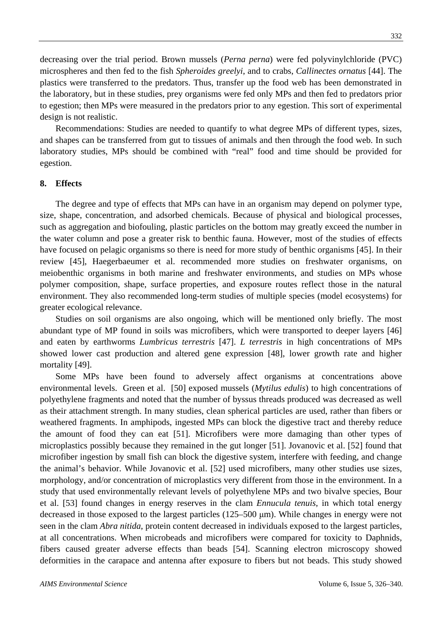decreasing over the trial period. Brown mussels (*Perna perna*) were fed polyvinylchloride (PVC) microspheres and then fed to the fish *Spheroides greelyi*, and to crabs, *Callinectes ornatus* [44]. The plastics were transferred to the predators. Thus, transfer up the food web has been demonstrated in the laboratory, but in these studies, prey organisms were fed only MPs and then fed to predators prior to egestion; then MPs were measured in the predators prior to any egestion. This sort of experimental design is not realistic.

Recommendations: Studies are needed to quantify to what degree MPs of different types, sizes, and shapes can be transferred from gut to tissues of animals and then through the food web. In such laboratory studies, MPs should be combined with "real" food and time should be provided for egestion.

## **8. Effects**

The degree and type of effects that MPs can have in an organism may depend on polymer type, size, shape, concentration, and adsorbed chemicals. Because of physical and biological processes, such as aggregation and biofouling, plastic particles on the bottom may greatly exceed the number in the water column and pose a greater risk to benthic fauna. However, most of the studies of effects have focused on pelagic organisms so there is need for more study of benthic organisms [45]. In their review [45], Haegerbaeumer et al. recommended more studies on freshwater organisms, on meiobenthic organisms in both marine and freshwater environments, and studies on MPs whose polymer composition, shape, surface properties, and exposure routes reflect those in the natural environment. They also recommended long-term studies of multiple species (model ecosystems) for greater ecological relevance.

Studies on soil organisms are also ongoing, which will be mentioned only briefly. The most abundant type of MP found in soils was microfibers, which were transported to deeper layers [46] and eaten by earthworms *Lumbricus terrestris* [47]. *L terrestris* in high concentrations of MPs showed lower cast production and altered gene expression [48], lower growth rate and higher mortality [49].

Some MPs have been found to adversely affect organisms at concentrations above environmental levels. Green et al. [50] exposed mussels (*Mytilus edulis*) to high concentrations of polyethylene fragments and noted that the number of byssus threads produced was decreased as well as their attachment strength. In many studies, clean spherical particles are used, rather than fibers or weathered fragments. In amphipods, ingested MPs can block the digestive tract and thereby reduce the amount of food they can eat [51]. Microfibers were more damaging than other types of microplastics possibly because they remained in the gut longer [51]. Jovanovic et al. [52] found that microfiber ingestion by small fish can block the digestive system, interfere with feeding, and change the animal's behavior. While Jovanovic et al. [52] used microfibers, many other studies use sizes, morphology, and/or concentration of microplastics very different from those in the environment. In a study that used environmentally relevant levels of polyethylene MPs and two bivalve species, Bour et al. [53] found changes in energy reserves in the clam *Ennucula tenuis*, in which total energy decreased in those exposed to the largest particles (125–500 μm). While changes in energy were not seen in the clam *Abra nitida*, protein content decreased in individuals exposed to the largest particles, at all concentrations. When microbeads and microfibers were compared for toxicity to Daphnids, fibers caused greater adverse effects than beads [54]. Scanning electron microscopy showed deformities in the carapace and antenna after exposure to fibers but not beads. This study showed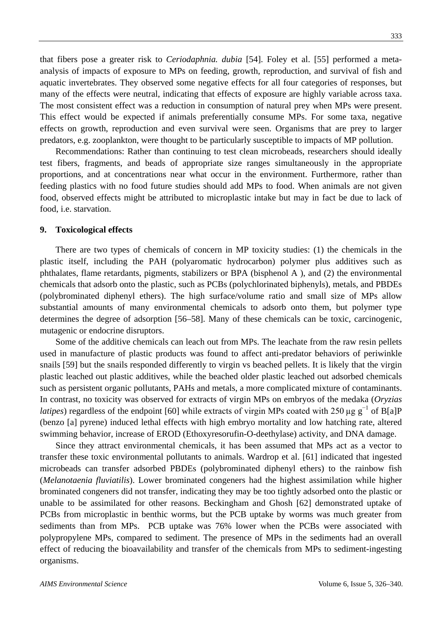that fibers pose a greater risk to *Ceriodaphnia. dubia* [54]. Foley et al. [55] performed a metaanalysis of impacts of exposure to MPs on feeding, growth, reproduction, and survival of fish and aquatic invertebrates. They observed some negative effects for all four categories of responses, but many of the effects were neutral, indicating that effects of exposure are highly variable across taxa. The most consistent effect was a reduction in consumption of natural prey when MPs were present. This effect would be expected if animals preferentially consume MPs. For some taxa, negative effects on growth, reproduction and even survival were seen. Organisms that are prey to larger predators, e.g. zooplankton, were thought to be particularly susceptible to impacts of MP pollution.

Recommendations: Rather than continuing to test clean microbeads, researchers should ideally test fibers, fragments, and beads of appropriate size ranges simultaneously in the appropriate proportions, and at concentrations near what occur in the environment. Furthermore, rather than feeding plastics with no food future studies should add MPs to food. When animals are not given food, observed effects might be attributed to microplastic intake but may in fact be due to lack of food, i.e. starvation.

#### **9. Toxicological effects**

There are two types of chemicals of concern in MP toxicity studies: (1) the chemicals in the plastic itself, including the PAH (polyaromatic hydrocarbon) polymer plus additives such as phthalates, flame retardants, pigments, stabilizers or BPA (bisphenol A ), and (2) the environmental chemicals that adsorb onto the plastic, such as PCBs (polychlorinated biphenyls), metals, and PBDEs (polybrominated diphenyl ethers). The high surface/volume ratio and small size of MPs allow substantial amounts of many environmental chemicals to adsorb onto them, but polymer type determines the degree of adsorption [56–58]. Many of these chemicals can be toxic, carcinogenic, mutagenic or endocrine disruptors.

Some of the additive chemicals can leach out from MPs. The leachate from the raw resin pellets used in manufacture of plastic products was found to affect anti-predator behaviors of periwinkle snails [59] but the snails responded differently to virgin vs beached pellets. It is likely that the virgin plastic leached out plastic additives, while the beached older plastic leached out adsorbed chemicals such as persistent organic pollutants, PAHs and metals, a more complicated mixture of contaminants. In contrast, no toxicity was observed for extracts of virgin MPs on embryos of the medaka (*Oryzias latipes*) regardless of the endpoint [60] while extracts of virgin MPs coated with 250  $\mu$ g g<sup>-1</sup> of B[a]P (benzo [a] pyrene) induced lethal effects with high embryo mortality and low hatching rate, altered swimming behavior, increase of EROD (Ethoxyresorufin-O-deethylase) activity, and DNA damage.

Since they attract environmental chemicals, it has been assumed that MPs act as a vector to transfer these toxic environmental pollutants to animals. Wardrop et al. [61] indicated that ingested microbeads can transfer adsorbed PBDEs (polybrominated diphenyl ethers) to the rainbow fish (*Melanotaenia fluviatilis*). Lower brominated congeners had the highest assimilation while higher brominated congeners did not transfer, indicating they may be too tightly adsorbed onto the plastic or unable to be assimilated for other reasons. Beckingham and Ghosh [62] demonstrated uptake of PCBs from microplastic in benthic worms, but the PCB uptake by worms was much greater from sediments than from MPs. PCB uptake was 76% lower when the PCBs were associated with polypropylene MPs, compared to sediment. The presence of MPs in the sediments had an overall effect of reducing the bioavailability and transfer of the chemicals from MPs to sediment-ingesting organisms.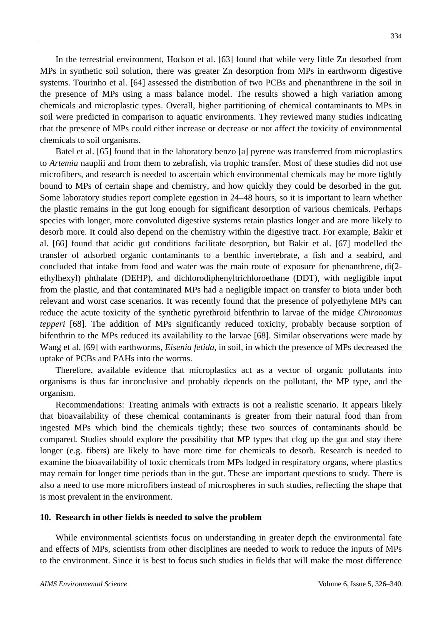In the terrestrial environment, Hodson et al. [63] found that while very little Zn desorbed from MPs in synthetic soil solution, there was greater Zn desorption from MPs in earthworm digestive systems. Tourinho et al. [64] assessed the distribution of two PCBs and phenanthrene in the soil in the presence of MPs using a mass balance model. The results showed a high variation among chemicals and microplastic types. Overall, higher partitioning of chemical contaminants to MPs in soil were predicted in comparison to aquatic environments. They reviewed many studies indicating that the presence of MPs could either increase or decrease or not affect the toxicity of environmental chemicals to soil organisms.

Batel et al. [65] found that in the laboratory benzo [a] pyrene was transferred from microplastics to *Artemia* nauplii and from them to zebrafish, via trophic transfer. Most of these studies did not use microfibers, and research is needed to ascertain which environmental chemicals may be more tightly bound to MPs of certain shape and chemistry, and how quickly they could be desorbed in the gut. Some laboratory studies report complete egestion in 24–48 hours, so it is important to learn whether the plastic remains in the gut long enough for significant desorption of various chemicals. Perhaps species with longer, more convoluted digestive systems retain plastics longer and are more likely to desorb more. It could also depend on the chemistry within the digestive tract. For example, Bakir et al. [66] found that acidic gut conditions facilitate desorption, but Bakir et al. [67] modelled the transfer of adsorbed organic contaminants to a benthic invertebrate, a fish and a seabird, and concluded that intake from food and water was the main route of exposure for phenanthrene, di(2 ethylhexyl) phthalate (DEHP), and dichlorodiphenyltrichloroethane (DDT), with negligible input from the plastic, and that contaminated MPs had a negligible impact on transfer to biota under both relevant and worst case scenarios. It was recently found that the presence of polyethylene MPs can reduce the acute toxicity of the synthetic pyrethroid bifenthrin to larvae of the midge *Chironomus tepperi* [68]. The addition of MPs significantly reduced toxicity, probably because sorption of bifenthrin to the MPs reduced its availability to the larvae [68]. Similar observations were made by Wang et al. [69] with earthworms, *Eisenia fetida,* in soil, in which the presence of MPs decreased the uptake of PCBs and PAHs into the worms.

Therefore, available evidence that microplastics act as a vector of organic pollutants into organisms is thus far inconclusive and probably depends on the pollutant, the MP type, and the organism.

Recommendations: Treating animals with extracts is not a realistic scenario. It appears likely that bioavailability of these chemical contaminants is greater from their natural food than from ingested MPs which bind the chemicals tightly; these two sources of contaminants should be compared. Studies should explore the possibility that MP types that clog up the gut and stay there longer (e.g. fibers) are likely to have more time for chemicals to desorb. Research is needed to examine the bioavailability of toxic chemicals from MPs lodged in respiratory organs, where plastics may remain for longer time periods than in the gut. These are important questions to study. There is also a need to use more microfibers instead of microspheres in such studies, reflecting the shape that is most prevalent in the environment.

## **10. Research in other fields is needed to solve the problem**

While environmental scientists focus on understanding in greater depth the environmental fate and effects of MPs, scientists from other disciplines are needed to work to reduce the inputs of MPs to the environment. Since it is best to focus such studies in fields that will make the most difference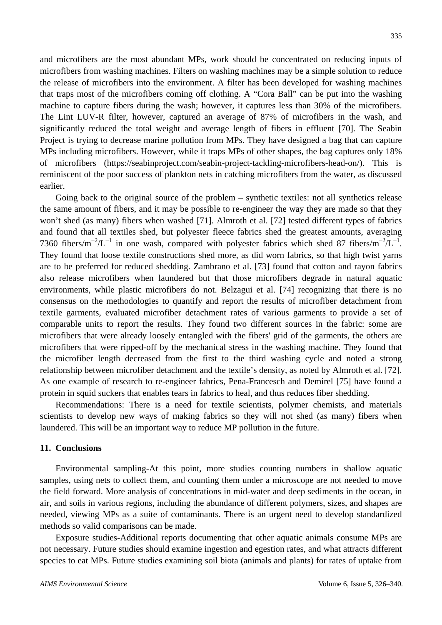and microfibers are the most abundant MPs, work should be concentrated on reducing inputs of microfibers from washing machines. Filters on washing machines may be a simple solution to reduce the release of microfibers into the environment. A filter has been developed for washing machines that traps most of the microfibers coming off clothing. A "Cora Ball" can be put into the washing machine to capture fibers during the wash; however, it captures less than 30% of the microfibers. The Lint LUV-R filter, however, captured an average of 87% of microfibers in the wash, and significantly reduced the total weight and average length of fibers in effluent [70]. The Seabin Project is trying to decrease marine pollution from MPs. They have designed a bag that can capture MPs including microfibers. However, while it traps MPs of other shapes, the bag captures only 18% of microfibers [\(https://seabinproject.com/seabin-project-tackling-microfibers-head-on/\)](https://seabinproject.com/seabin-project-tackling-microfibers-head-on/). This is reminiscent of the poor success of plankton nets in catching microfibers from the water, as discussed earlier.

Going back to the original source of the problem – synthetic textiles: not all synthetics release the same amount of fibers, and it may be possible to re-engineer the way they are made so that they won't shed (as many) fibers when washed [71]. Almroth et al. [72] tested different types of fabrics and found that all textiles shed, but polyester fleece fabrics shed the greatest amounts, averaging 7360 fibers/m<sup>-2</sup>/L<sup>-1</sup> in one wash, compared with polyester fabrics which shed 87 fibers/m<sup>-2</sup>/L<sup>-1</sup>. They found that loose textile constructions shed more, as did worn fabrics, so that high twist yarns are to be preferred for reduced shedding. Zambrano et al. [73] found that cotton and rayon fabrics also release microfibers when laundered but that those microfibers degrade in natural aquatic environments, while plastic microfibers do not. Belzagui et al. [74] recognizing that there is no consensus on the methodologies to quantify and report the results of microfiber detachment from textile garments, evaluated microfiber detachment rates of various garments to provide a set of comparable units to report the results. They found two different sources in the fabric: some are microfibers that were already loosely entangled with the fibers' grid of the garments, the others are microfibers that were ripped-off by the mechanical stress in the washing machine. They found that the microfiber length decreased from the first to the third washing cycle and noted a strong relationship between microfiber detachment and the textile's density, as noted by Almroth et al. [72]. As one example of research to re-engineer fabrics, Pena-Francesch and Demirel [75] have found a protein in squid suckers that enables tears in fabrics to heal, and thus reduces fiber shedding.

Recommendations: There is a need for textile scientists, polymer chemists, and materials scientists to develop new ways of making fabrics so they will not shed (as many) fibers when laundered. This will be an important way to reduce MP pollution in the future.

## **11. Conclusions**

Environmental sampling-At this point, more studies counting numbers in shallow aquatic samples, using nets to collect them, and counting them under a microscope are not needed to move the field forward. More analysis of concentrations in mid-water and deep sediments in the ocean, in air, and soils in various regions, including the abundance of different polymers, sizes, and shapes are needed, viewing MPs as a suite of contaminants. There is an urgent need to develop standardized methods so valid comparisons can be made.

Exposure studies-Additional reports documenting that other aquatic animals consume MPs are not necessary. Future studies should examine ingestion and egestion rates, and what attracts different species to eat MPs. Future studies examining soil biota (animals and plants) for rates of uptake from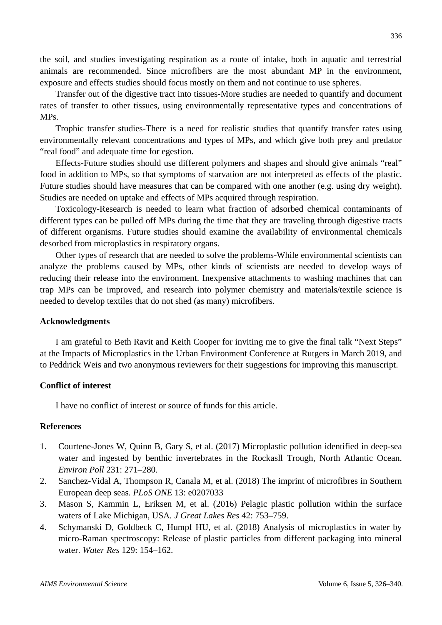the soil, and studies investigating respiration as a route of intake, both in aquatic and terrestrial animals are recommended. Since microfibers are the most abundant MP in the environment, exposure and effects studies should focus mostly on them and not continue to use spheres.

Transfer out of the digestive tract into tissues-More studies are needed to quantify and document rates of transfer to other tissues, using environmentally representative types and concentrations of MPs.

Trophic transfer studies-There is a need for realistic studies that quantify transfer rates using environmentally relevant concentrations and types of MPs, and which give both prey and predator "real food" and adequate time for egestion.

Effects-Future studies should use different polymers and shapes and should give animals "real" food in addition to MPs, so that symptoms of starvation are not interpreted as effects of the plastic. Future studies should have measures that can be compared with one another (e.g. using dry weight). Studies are needed on uptake and effects of MPs acquired through respiration.

Toxicology-Research is needed to learn what fraction of adsorbed chemical contaminants of different types can be pulled off MPs during the time that they are traveling through digestive tracts of different organisms. Future studies should examine the availability of environmental chemicals desorbed from microplastics in respiratory organs.

Other types of research that are needed to solve the problems-While environmental scientists can analyze the problems caused by MPs, other kinds of scientists are needed to develop ways of reducing their release into the environment. Inexpensive attachments to washing machines that can trap MPs can be improved, and research into polymer chemistry and materials/textile science is needed to develop textiles that do not shed (as many) microfibers.

## **Acknowledgments**

I am grateful to Beth Ravit and Keith Cooper for inviting me to give the final talk "Next Steps" at the Impacts of Microplastics in the Urban Environment Conference at Rutgers in March 2019, and to Peddrick Weis and two anonymous reviewers for their suggestions for improving this manuscript.

# **Conflict of interest**

I have no conflict of interest or source of funds for this article.

## **References**

- 1. Courtene-Jones W, Quinn B, Gary S, et al. (2017) Microplastic pollution identified in deep-sea water and ingested by benthic invertebrates in the Rockasll Trough, North Atlantic Ocean. *Environ Poll* 231: 271–280.
- 2. Sanchez-Vidal A, Thompson R, Canala M, et al. (2018) The imprint of microfibres in Southern European deep seas. *PLoS ONE* 13: e0207033
- 3. Mason S, Kammin L, Eriksen M, et al. (2016) Pelagic plastic pollution within the surface waters of Lake Michigan, USA*. J Great Lakes Res* 42: 753–759.
- 4. Schymanski D, Goldbeck C, Humpf HU, et al. (2018) Analysis of microplastics in water by micro-Raman spectroscopy: Release of plastic particles from different packaging into mineral water. *Water Res* 129: 154–162.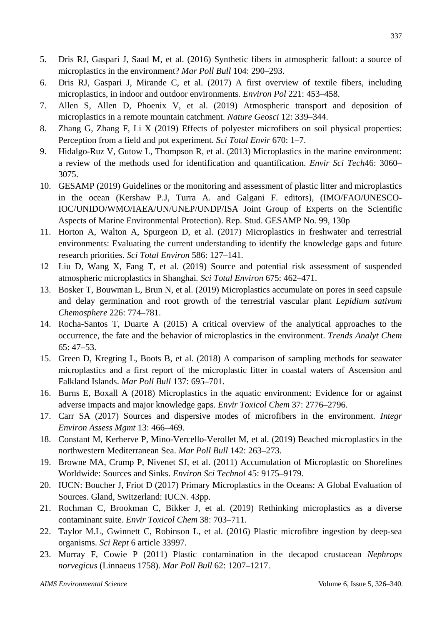- 5. Dris RJ, Gaspari J, Saad M, et al. (2016) Synthetic fibers in atmospheric fallout: a source of microplastics in the environment? *Mar Poll Bull* 104: 290–293.
- 6. Dris RJ, Gaspari J, Mirande C, et al. (2017) A first overview of textile fibers, including microplastics, in indoor and outdoor environments*. Environ Pol* 221: 453–458.
- 7. Allen S, Allen D, Phoenix V, et al. (2019) Atmospheric transport and deposition of microplastics in a remote mountain catchment. *Nature Geosci* 12: 339–344.
- 8. Zhang G, Zhang F, Li X (2019) Effects of polyester microfibers on soil physical properties: Perception from a field and pot experiment. *Sci Total Envir* 670: 1–7.
- 9. Hidalgo-Ruz V, Gutow L, Thompson R, et al. (2013) Microplastics in the marine environment: a review of the methods used for identification and quantification. *Envir Sci Tech*46: 3060– 3075.
- 10. GESAMP (2019) Guidelines or the monitoring and assessment of plastic litter and microplastics in the ocean (Kershaw P.J, Turra A. and Galgani F. editors), (IMO/FAO/UNESCO-IOC/UNIDO/WMO/IAEA/UN/UNEP/UNDP/ISA Joint Group of Experts on the Scientific Aspects of Marine Environmental Protection). Rep. Stud. GESAMP No. 99, 130p
- 11. Horton A, Walton A, Spurgeon D, et al. (2017) Microplastics in freshwater and terrestrial environments: Evaluating the current understanding to identify the knowledge gaps and future research priorities. *Sci Total Environ* 586: 127–141.
- 12 Liu D, Wang X, Fang T, et al. (2019) Source and potential risk assessment of suspended atmospheric microplastics in Shanghai*. Sci Total Environ* 675: 462–471.
- 13. Bosker T, Bouwman L, Brun N, et al. (2019) Microplastics accumulate on pores in seed capsule and delay germination and root growth of the terrestrial vascular plant *Lepidium sativum Chemosphere* 226: 774–781.
- 14. Rocha-Santos T, Duarte A (2015) A critical overview of the analytical approaches to the occurrence, the fate and the behavior of microplastics in the environment. *Trends Analyt Chem* 65: 47–53.
- 15. Green D, Kregting L, Boots B, et al. (2018) A comparison of sampling methods for seawater microplastics and a first report of the microplastic litter in coastal waters of Ascension and Falkland Islands. *Mar Poll Bull* 137: 695–701.
- 16. Burns E, Boxall A (2018) Microplastics in the aquatic environment: Evidence for or against adverse impacts and major knowledge gaps. *Envir Toxicol Chem* 37: 2776–2796.
- 17. Carr SA (2017) Sources and dispersive modes of microfibers in the environment*. Integr Environ Assess Mgmt* 13: 466–469.
- 18. Constant M, Kerherve P, Mino-Vercello-Verollet M, et al. (2019) Beached microplastics in the northwestern Mediterranean Sea. *Mar Poll Bull* 142: 263–273.
- 19. [Browne](https://pubs.acs.org/author/Browne%2C+Mark+Anthony) MA, [Crump](https://pubs.acs.org/author/Crump%2C+Phillip) P, Nivenet SJ, et al. (2011) Accumulation of Microplastic on Shorelines Worldwide: Sources and Sinks. *Environ Sci Technol* 45: 9175–9179.
- 20. IUCN: Boucher J, Friot D (2017) Primary Microplastics in the Oceans: A Global Evaluation of Sources. Gland, Switzerland: IUCN. 43pp.
- 21. Rochman C, Brookman C, Bikker J, et al. (2019) Rethinking microplastics as a diverse contaminant suite. *Envir Toxicol Chem* 38: 703–711.
- 22. Taylor M.L, Gwinnett C, Robinson L, et al. (2016) Plastic microfibre ingestion by deep-sea organisms. *Sci Rept* 6 article 33997.
- 23. Murray F, Cowie P (2011) Plastic contamination in the decapod crustacean *Nephrops norvegicus* (Linnaeus 1758). *Mar Poll Bull* 62: 1207–1217.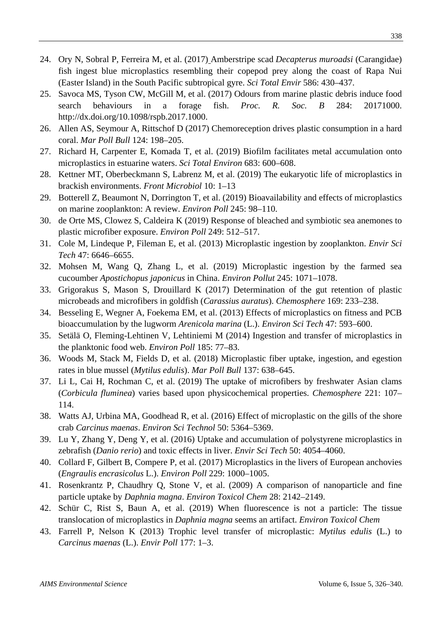- 24. Ory N, Sobral P, Ferreira M, et al. (2017) Amberstripe scad *Decapterus muroadsi* (Carangidae) fish ingest blue microplastics resembling their copepod prey along the coast of Rapa Nui (Easter Island) in the South Pacific subtropical gyre. *[Sci Total Envir](https://www.sciencedirect.com/science/journal/00489697)* 586: 430–437.
- 25. Savoca MS, Tyson CW, McGill M, et al. (2017) Odours from marine plastic debris induce food search behaviours in a forage fish. *Proc. R. Soc. B* 284: 20171000. [http://dx.doi.org/10.1098/rspb.2017.1000.](http://dx.doi.org/10.1098/rspb.2017.1000)
- 26. Allen AS, Seymour A, Rittschof D (2017) Chemoreception drives plastic consumption in a hard coral. *Mar Poll Bull* 124: 198–205.
- 27. Richard H, Carpenter E, Komada T, et al. (2019) Biofilm facilitates metal accumulation onto microplastics in estuarine waters. *Sci Total Environ* 683: 600–608.
- 28. Kettner MT, Oberbeckmann S, Labrenz M, et al. (2019) The eukaryotic life of microplastics in brackish environments. *Front Microbiol* 10: 1–13
- 29. Botterell Z, Beaumont N, Dorrington T, et al. (2019) Bioavailability and effects of microplastics on marine zooplankton: A review. *Environ Poll* 245: 98–110.
- 30. de Orte MS, Clowez S, Caldeira K (2019) Response of bleached and symbiotic sea anemones to plastic microfiber exposure. *Environ Poll* 249: 512–517.
- 31. Cole M, Lindeque P, Fileman E, et al. (2013) Microplastic ingestion by zooplankton. *Envir Sci Tech* 47: 6646–6655.
- 32. Mohsen M, Wang Q, Zhang L, et al. (2019) Microplastic ingestion by the farmed sea cucoumber *Apostichopus japonicus* in China. *Environ Pollut* 245: 1071–1078.
- 33. Grigorakus S, Mason S, Drouillard K (2017) Determination of the gut retention of plastic microbeads and microfibers in goldfish (*Carassius auratus*). *Chemosphere* 169: 233–238.
- 34. Besseling E, Wegner A, Foekema EM, et al. (2013) Effects of microplastics on fitness and PCB bioaccumulation by the lugworm *Arenicola marina* (L.). *Environ Sci Tech* 47: 593–600.
- 35. Setälä O, Fleming-Lehtinen V, Lehtiniemi M (2014) Ingestion and transfer of microplastics in the planktonic food web. *Environ Poll* 185: 77–83.
- 36. Woods M, Stack M, Fields D, et al. (2018) Microplastic fiber uptake, ingestion, and egestion rates in blue mussel (*Mytilus edulis*). *Mar Poll Bull* 137: 638–645.
- 37. Li L, Cai H, Rochman C, et al. (2019) The uptake of microfibers by freshwater Asian clams (*Corbicula fluminea*) varies based upon physicochemical properties. *Chemosphere* 221: 107– 114.
- 38. Watts AJ, Urbina MA, Goodhead R, et al. (2016) Effect of microplastic on the gills of the shore crab *Carcinus maenas*. *Environ Sci Technol* 50: 5364–5369.
- 39. Lu Y, Zhang Y, Deng Y, et al. (2016) Uptake and accumulation of polystyrene microplastics in zebrafish (*Danio rerio*) and toxic effects in liver. *Envir Sci Tech* 50: 4054–4060.
- 40. Collard F, Gilbert B, Compere P, et al. (2017) Microplastics in the livers of European anchovies (*Engraulis encrasicolus* L.). *Environ Poll* 229: 1000–1005.
- 41. Rosenkrantz P, Chaudhry Q, Stone V, et al. (2009) A comparison of nanoparticle and fine particle uptake by *Daphnia magna*. *Environ Toxicol Chem* 28: 2142–2149.
- 42. [Schür](https://setac.onlinelibrary.wiley.com/action/doSearch?ContribAuthorStored=Sch%C3%BCr%2C+Christoph) C, Rist S, Baun A, et al. (2019) When fluorescence is not a particle: The tissue translocation of microplastics in *Daphnia magna* seems an artifact. *Environ Toxicol Chem*
- 43. Farrell P, Nelson K (2013) Trophic level transfer of microplastic: *Mytilus edulis* (L.) to *Carcinus maenas* (L.). *Envir Poll* 177: 1–3.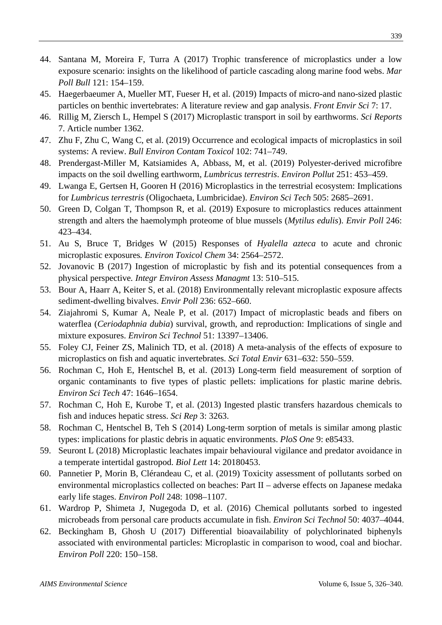- 44. Santana M, Moreira F, Turra A (2017) Trophic transference of microplastics under a low exposure scenario: insights on the likelihood of particle cascading along marine food webs. *Mar Poll Bull* 121: 154–159.
- 45. Haegerbaeumer A, Mueller MT, Fueser H, et al. (2019) Impacts of micro-and nano-sized plastic particles on benthic invertebrates: A literature review and gap analysis. *Front Envir Sci* 7: 17.
- 46. Rillig M, Ziersch L, Hempel S (2017) Microplastic transport in soil by earthworms. *Sci Reports*  7. Article number 1362.
- 47. Zhu F, Zhu C, Wang C, et al. (2019) Occurrence and ecological impacts of microplastics in soil systems: A review. *Bull Environ Contam Toxicol* 102: 741–749.
- 48. Prendergast-Miller M, Katsiamides A, Abbass, M, et al. (2019) Polyester-derived microfibre impacts on the soil dwelling earthworm, *Lumbricus terrestris*. *Environ Pollut* 251: 453–459.
- 49. Lwanga E, Gertsen H, Gooren H (2016) Microplastics in the terrestrial ecosystem: Implications for *Lumbricus terrestris* (Oligochaeta, Lumbricidae). *Environ Sci Tech* 505: 2685–2691.
- 50. Green D, Colgan T, Thompson R, et al. (2019) Exposure to microplastics reduces attainment strength and alters the haemolymph proteome of blue mussels (*Mytilus edulis*). *Envir Poll* 246: 423–434.
- 51. Au S, Bruce T, Bridges W (2015) Responses of *Hyalella azteca* to acute and chronic microplastic exposures*. Environ Toxicol Chem* 34: 2564–2572.
- 52. Jovanovic B (2017) Ingestion of microplastic by fish and its potential consequences from a physical perspective*. Integr Environ Assess Managmt* 13: 510–515.
- 53. Bour A, Haarr A, Keiter S, et al. (2018) Environmentally relevant microplastic exposure affects sediment-dwelling bivalves. *Envir Poll* 236: 652–660.
- 54. Ziajahromi S, Kumar A, Neale P, et al. (2017) Impact of microplastic beads and fibers on waterflea (*Ceriodaphnia dubia*) survival, growth, and reproduction: Implications of single and mixture exposures. *Environ Sci Technol* 51: 13397–13406.
- 55. [Foley CJ,](https://www.ncbi.nlm.nih.gov/pubmed/?term=Foley%20CJ%5BAuthor%5D&cauthor=true&cauthor_uid=29529442) [Feiner ZS,](https://www.ncbi.nlm.nih.gov/pubmed/?term=Feiner%20ZS%5BAuthor%5D&cauthor=true&cauthor_uid=29529442) [Malinich TD,](https://www.ncbi.nlm.nih.gov/pubmed/?term=Malinich%20TD%5BAuthor%5D&cauthor=true&cauthor_uid=29529442) et al. (2018) A meta-analysis of the effects of exposure to microplastics on fish and aquatic invertebrates. *Sci Total Envir* 631–632: 550–559.
- 56. Rochman C, Hoh E, Hentschel B, et al. (2013) Long-term field measurement of sorption of organic contaminants to five types of plastic pellets: implications for plastic marine debris. *Environ Sci Tech* 47: 1646–1654.
- 57. Rochman C, Hoh E, Kurobe T, et al. (2013) Ingested plastic transfers hazardous chemicals to fish and induces hepatic stress. *Sci Rep* 3: 3263.
- 58. Rochman C, Hentschel B, Teh S (2014) Long-term sorption of metals is similar among plastic types: implications for plastic debris in aquatic environments. *PloS One* 9: e85433.
- 59. Seuront L (2018) Microplastic leachates impair behavioural vigilance and predator avoidance in a temperate intertidal gastropod. *Biol Lett* 14: 20180453.
- 60. Pannetier P, Morin B, [Clérandeau](https://www.sciencedirect.com/science/article/pii/S0269749118331658?dgcid=raven_sd_via_email#!) C, et al. (2019) Toxicity assessment of pollutants sorbed on environmental microplastics collected on beaches: Part II – adverse effects on Japanese medaka early life stages. *Environ Poll* 248: 1098–1107.
- 61. Wardrop P, Shimeta J, Nugegoda D, et al. (2016) Chemical pollutants sorbed to ingested microbeads from personal care products accumulate in fish. *Environ Sci Technol* 50: 4037–4044.
- 62. Beckingham B, Ghosh U (2017) Differential bioavailability of polychlorinated biphenyls associated with environmental particles: Microplastic in comparison to wood, coal and biochar. *Environ Poll* 220: 150–158.